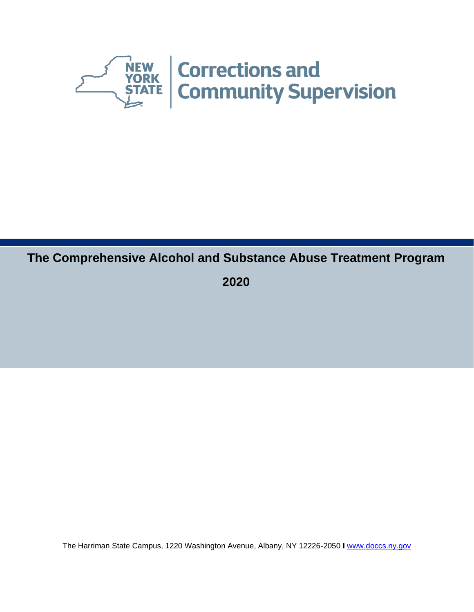

# **The Comprehensive Alcohol and Substance Abuse Treatment Program**

**2020**

The Harriman State Campus, 1220 Washington Avenue, Albany, NY 12226-2050 **I** [www.doccs.ny.gov](http://www.doccs.ny.gov/)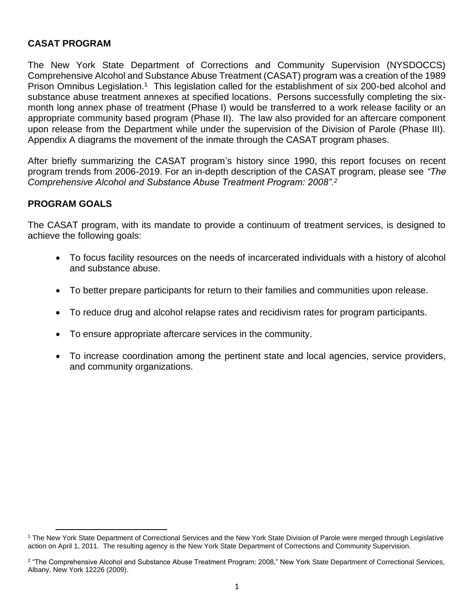### **CASAT PROGRAM**

The New York State Department of Corrections and Community Supervision (NYSDOCCS) Comprehensive Alcohol and Substance Abuse Treatment (CASAT) program was a creation of the 1989 Prison Omnibus Legislation.<sup>1</sup> This legislation called for the establishment of six 200-bed alcohol and substance abuse treatment annexes at specified locations. Persons successfully completing the sixmonth long annex phase of treatment (Phase I) would be transferred to a work release facility or an appropriate community based program (Phase II). The law also provided for an aftercare component upon release from the Department while under the supervision of the Division of Parole (Phase III). Appendix A diagrams the movement of the inmate through the CASAT program phases.

After briefly summarizing the CASAT program's history since 1990, this report focuses on recent program trends from 2006-2019. For an in-depth description of the CASAT program, please see *"The Comprehensive Alcohol and Substance Abuse Treatment Program: 2008".<sup>2</sup>* 

### **PROGRAM GOALS**

The CASAT program, with its mandate to provide a continuum of treatment services, is designed to achieve the following goals:

- To focus facility resources on the needs of incarcerated individuals with a history of alcohol and substance abuse.
- To better prepare participants for return to their families and communities upon release.
- To reduce drug and alcohol relapse rates and recidivism rates for program participants.
- To ensure appropriate aftercare services in the community.
- To increase coordination among the pertinent state and local agencies, service providers, and community organizations.

<sup>1</sup> The New York State Department of Correctional Services and the New York State Division of Parole were merged through Legislative action on April 1, 2011. The resulting agency is the New York State Department of Corrections and Community Supervision.

<sup>2</sup> "The Comprehensive Alcohol and Substance Abuse Treatment Program: 2008," New York State Department of Correctional Services, Albany, New York 12226 (2009).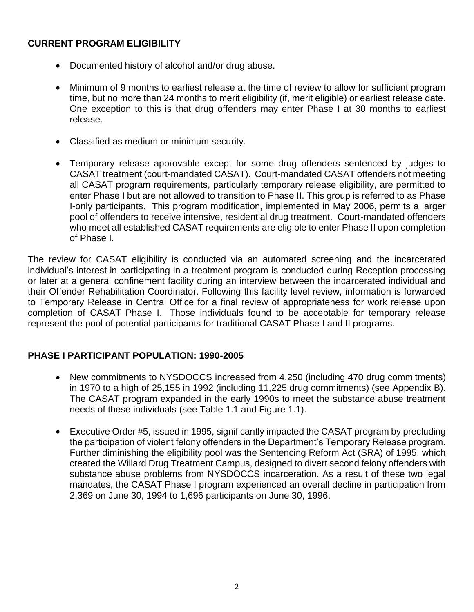# **CURRENT PROGRAM ELIGIBILITY**

- Documented history of alcohol and/or drug abuse.
- Minimum of 9 months to earliest release at the time of review to allow for sufficient program time, but no more than 24 months to merit eligibility (if, merit eligible) or earliest release date. One exception to this is that drug offenders may enter Phase I at 30 months to earliest release.
- Classified as medium or minimum security.
- Temporary release approvable except for some drug offenders sentenced by judges to CASAT treatment (court-mandated CASAT). Court-mandated CASAT offenders not meeting all CASAT program requirements, particularly temporary release eligibility, are permitted to enter Phase I but are not allowed to transition to Phase II. This group is referred to as Phase I-only participants. This program modification, implemented in May 2006, permits a larger pool of offenders to receive intensive, residential drug treatment. Court-mandated offenders who meet all established CASAT requirements are eligible to enter Phase II upon completion of Phase I.

The review for CASAT eligibility is conducted via an automated screening and the incarcerated individual's interest in participating in a treatment program is conducted during Reception processing or later at a general confinement facility during an interview between the incarcerated individual and their Offender Rehabilitation Coordinator. Following this facility level review, information is forwarded to Temporary Release in Central Office for a final review of appropriateness for work release upon completion of CASAT Phase I. Those individuals found to be acceptable for temporary release represent the pool of potential participants for traditional CASAT Phase I and II programs.

### **PHASE I PARTICIPANT POPULATION: 1990-2005**

- New commitments to NYSDOCCS increased from 4,250 (including 470 drug commitments) in 1970 to a high of 25,155 in 1992 (including 11,225 drug commitments) (see Appendix B). The CASAT program expanded in the early 1990s to meet the substance abuse treatment needs of these individuals (see Table 1.1 and Figure 1.1).
- Executive Order #5, issued in 1995, significantly impacted the CASAT program by precluding the participation of violent felony offenders in the Department's Temporary Release program. Further diminishing the eligibility pool was the Sentencing Reform Act (SRA) of 1995, which created the Willard Drug Treatment Campus, designed to divert second felony offenders with substance abuse problems from NYSDOCCS incarceration. As a result of these two legal mandates, the CASAT Phase I program experienced an overall decline in participation from 2,369 on June 30, 1994 to 1,696 participants on June 30, 1996.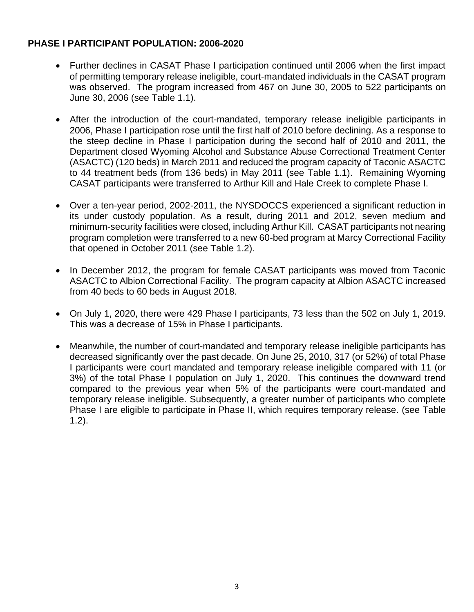# **PHASE I PARTICIPANT POPULATION: 2006-2020**

- Further declines in CASAT Phase I participation continued until 2006 when the first impact of permitting temporary release ineligible, court-mandated individuals in the CASAT program was observed. The program increased from 467 on June 30, 2005 to 522 participants on June 30, 2006 (see Table 1.1).
- After the introduction of the court-mandated, temporary release ineligible participants in 2006, Phase I participation rose until the first half of 2010 before declining. As a response to the steep decline in Phase I participation during the second half of 2010 and 2011, the Department closed Wyoming Alcohol and Substance Abuse Correctional Treatment Center (ASACTC) (120 beds) in March 2011 and reduced the program capacity of Taconic ASACTC to 44 treatment beds (from 136 beds) in May 2011 (see Table 1.1). Remaining Wyoming CASAT participants were transferred to Arthur Kill and Hale Creek to complete Phase I.
- Over a ten-year period, 2002-2011, the NYSDOCCS experienced a significant reduction in its under custody population. As a result, during 2011 and 2012, seven medium and minimum-security facilities were closed, including Arthur Kill. CASAT participants not nearing program completion were transferred to a new 60-bed program at Marcy Correctional Facility that opened in October 2011 (see Table 1.2).
- In December 2012, the program for female CASAT participants was moved from Taconic ASACTC to Albion Correctional Facility. The program capacity at Albion ASACTC increased from 40 beds to 60 beds in August 2018.
- On July 1, 2020, there were 429 Phase I participants, 73 less than the 502 on July 1, 2019. This was a decrease of 15% in Phase I participants.
- Meanwhile, the number of court-mandated and temporary release ineligible participants has decreased significantly over the past decade. On June 25, 2010, 317 (or 52%) of total Phase I participants were court mandated and temporary release ineligible compared with 11 (or 3%) of the total Phase I population on July 1, 2020. This continues the downward trend compared to the previous year when 5% of the participants were court-mandated and temporary release ineligible. Subsequently, a greater number of participants who complete Phase I are eligible to participate in Phase II, which requires temporary release. (see Table 1.2).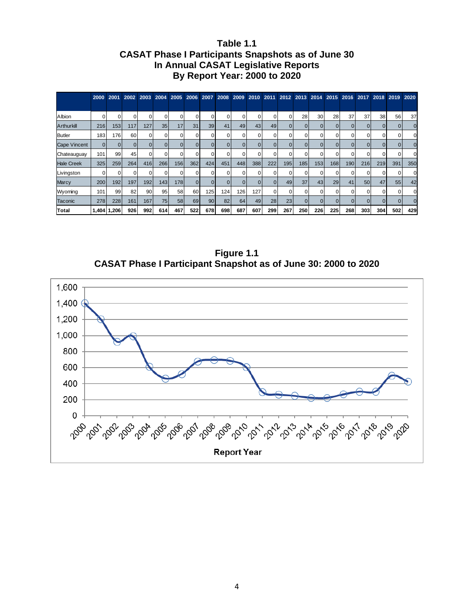### **Table 1.1 CASAT Phase I Participants Snapshots as of June 30 In Annual CASAT Legislative Reports By Report Year: 2000 to 2020**

|                     |          |             |          |     |     |            |          |          |          |     |          |     |          | 2000 2001 2002 2003 2004 2005 2006 2007 2008 2009 2010 2011 2012 2013 2014 2015 2016 2017 2018 2019 2020 |     |     |     |     |     |     |          |
|---------------------|----------|-------------|----------|-----|-----|------------|----------|----------|----------|-----|----------|-----|----------|----------------------------------------------------------------------------------------------------------|-----|-----|-----|-----|-----|-----|----------|
|                     |          |             |          |     |     |            |          |          |          |     |          |     |          |                                                                                                          |     |     |     |     |     |     |          |
| Albion              |          |             |          |     |     |            |          |          |          |     |          |     | 0        | 28                                                                                                       | 30  | 28  | 37  | 37  | 38  | 56  | 37       |
| Arthurkill          | 216      | 153         | 117      | 127 | 35  | 17         | 31       | 39       | 41       | 49  | 43       | 49  |          |                                                                                                          |     |     |     |     |     |     | $\Omega$ |
| <b>Butler</b>       | 183      | 176         | 60       |     |     | O          |          | $\Omega$ | $\Omega$ |     |          |     | 0        |                                                                                                          |     |     |     |     |     |     |          |
| <b>Cape Vincent</b> | $\Omega$ |             | $\Omega$ |     |     | $\Omega$   |          | $\Omega$ | $\Omega$ |     | $\Omega$ |     | $\Omega$ |                                                                                                          |     |     |     |     |     |     | $\Omega$ |
| Chateauguay         | 101      | 99          | 45       |     |     |            |          | ი        |          |     |          |     | O        |                                                                                                          |     |     |     |     |     |     |          |
| <b>Hale Creek</b>   | 325      | 259         | 264      | 416 | 266 | 156        | 362      | 424      | 451      | 448 | 388      | 222 | 195      | 185                                                                                                      | 153 | 168 | 190 | 216 | 219 | 391 | 350      |
| Livingston          |          |             |          |     |     |            |          |          |          |     |          |     | $\Omega$ |                                                                                                          |     |     |     |     |     |     | $\Omega$ |
| <b>Marcy</b>        | 200      | 192         | 197      | 192 | 143 | <b>178</b> | $\Omega$ | $\Omega$ | $\Omega$ |     | 0        |     | 49       | 37                                                                                                       | 43  | 29  | 41  | 50  | 47  | 55  | 42       |
| Wyoming             | 101      | 99          | 82       | 90  | 95  | 58         | 60       | 125      | 124      | 126 | 127      |     | $\Omega$ |                                                                                                          |     | O   |     |     |     |     |          |
| Taconic             | 278      | 228         | 161      | 167 | 75  | 58         | 69       | 90       | 82       | 64  | 49       | 28  | 23       |                                                                                                          |     |     |     |     |     |     | $\Omega$ |
| Total               |          | 1,404 1,206 | 926      | 992 | 614 | 467        | 522      | 678      | 698      | 687 | 607      | 299 | 267      | 250                                                                                                      | 226 | 225 | 268 | 303 | 304 | 502 | 429      |

**Figure 1.1 CASAT Phase I Participant Snapshot as of June 30: 2000 to 2020**

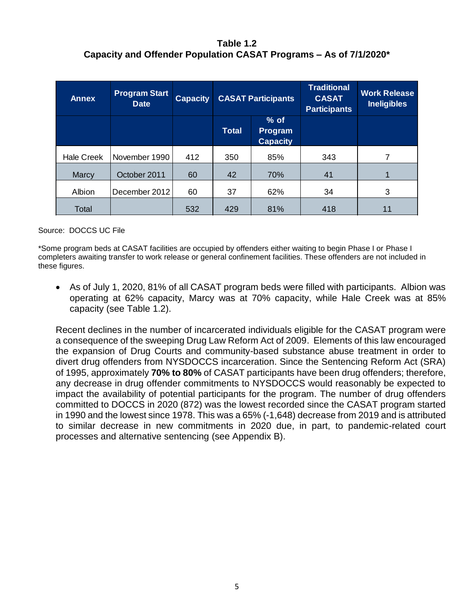# **Table 1.2 Capacity and Offender Population CASAT Programs – As of 7/1/2020\***

| <b>Annex</b>      | <b>Program Start</b><br><b>Date</b> | <b>Capacity</b> | <b>CASAT Participants</b> |                                      |     |    |  |  | <b>Traditional</b><br><b>CASAT</b><br><b>Participants</b> | <b>Work Release</b><br><b>Ineligibles</b> |
|-------------------|-------------------------------------|-----------------|---------------------------|--------------------------------------|-----|----|--|--|-----------------------------------------------------------|-------------------------------------------|
|                   |                                     |                 | <b>Total</b>              | $%$ of<br>Program<br><b>Capacity</b> |     |    |  |  |                                                           |                                           |
| <b>Hale Creek</b> | November 1990                       | 412             | 350                       | 85%                                  | 343 | 7  |  |  |                                                           |                                           |
| Marcy             | October 2011                        | 60              | 42                        | 70%                                  | 41  |    |  |  |                                                           |                                           |
| Albion            | December 2012                       | 60              | 37                        | 62%                                  | 34  | 3  |  |  |                                                           |                                           |
| Total             |                                     | 532             | 429                       | 81%                                  | 418 | 11 |  |  |                                                           |                                           |

#### Source: DOCCS UC File

\*Some program beds at CASAT facilities are occupied by offenders either waiting to begin Phase I or Phase I completers awaiting transfer to work release or general confinement facilities. These offenders are not included in these figures.

• As of July 1, 2020, 81% of all CASAT program beds were filled with participants. Albion was operating at 62% capacity, Marcy was at 70% capacity, while Hale Creek was at 85% capacity (see Table 1.2).

Recent declines in the number of incarcerated individuals eligible for the CASAT program were a consequence of the sweeping Drug Law Reform Act of 2009. Elements of this law encouraged the expansion of Drug Courts and community-based substance abuse treatment in order to divert drug offenders from NYSDOCCS incarceration. Since the Sentencing Reform Act (SRA) of 1995, approximately **70% to 80%** of CASAT participants have been drug offenders; therefore, any decrease in drug offender commitments to NYSDOCCS would reasonably be expected to impact the availability of potential participants for the program. The number of drug offenders committed to DOCCS in 2020 (872) was the lowest recorded since the CASAT program started in 1990 and the lowest since 1978. This was a 65% (-1,648) decrease from 2019 and is attributed to similar decrease in new commitments in 2020 due, in part, to pandemic-related court processes and alternative sentencing (see Appendix B).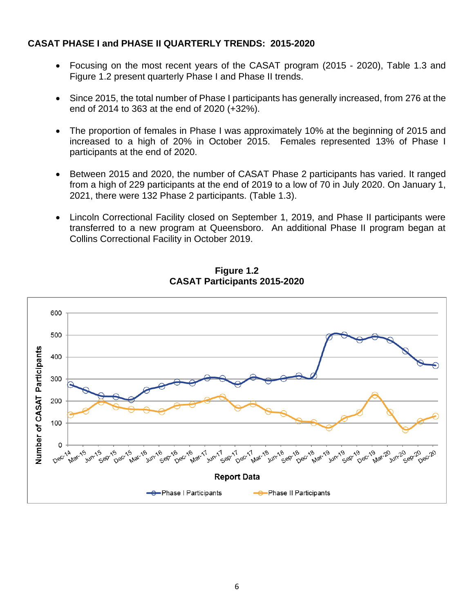### **CASAT PHASE I and PHASE II QUARTERLY TRENDS: 2015-2020**

- Focusing on the most recent years of the CASAT program (2015 2020), Table 1.3 and Figure 1.2 present quarterly Phase I and Phase II trends.
- Since 2015, the total number of Phase I participants has generally increased, from 276 at the end of 2014 to 363 at the end of 2020 (+32%).
- The proportion of females in Phase I was approximately 10% at the beginning of 2015 and increased to a high of 20% in October 2015. Females represented 13% of Phase I participants at the end of 2020.
- Between 2015 and 2020, the number of CASAT Phase 2 participants has varied. It ranged from a high of 229 participants at the end of 2019 to a low of 70 in July 2020. On January 1, 2021, there were 132 Phase 2 participants. (Table 1.3).
- Lincoln Correctional Facility closed on September 1, 2019, and Phase II participants were transferred to a new program at Queensboro. An additional Phase II program began at Collins Correctional Facility in October 2019.



**Figure 1.2 CASAT Participants 2015-2020**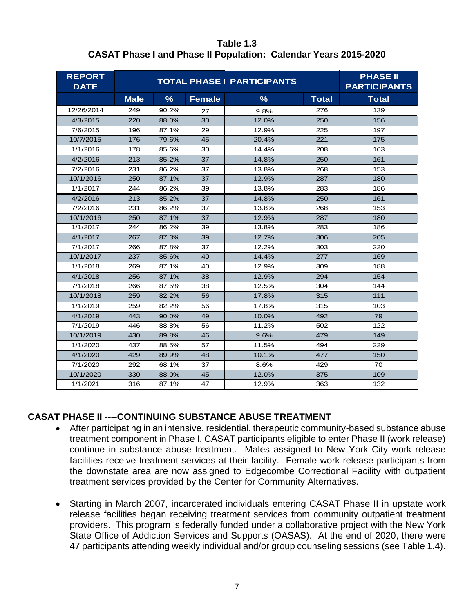**Table 1.3 CASAT Phase I and Phase II Population: Calendar Years 2015-2020**

| <b>REPORT</b><br><b>DATE</b> |             | <b>PHASE II</b><br><b>PARTICIPANTS</b> |               |               |              |              |
|------------------------------|-------------|----------------------------------------|---------------|---------------|--------------|--------------|
|                              | <b>Male</b> | $\frac{9}{6}$                          | <b>Female</b> | $\frac{9}{6}$ | <b>Total</b> | <b>Total</b> |
| 12/26/2014                   | 249         | 90.2%                                  | 27            | 9.8%          | 276          | 139          |
| 4/3/2015                     | 220         | 88.0%                                  | 30            | 12.0%         | 250          | 156          |
| 7/6/2015                     | 196         | 87.1%                                  | 29            | 12.9%         | 225          | 197          |
| 10/7/2015                    | 176         | 79.6%                                  | 45            | 20.4%         | 221          | 175          |
| 1/1/2016                     | 178         | 85.6%                                  | 30            | 14.4%         | 208          | 163          |
| 4/2/2016                     | 213         | 85.2%                                  | 37            | 14.8%         | 250          | 161          |
| 7/2/2016                     | 231         | 86.2%                                  | 37            | 13.8%         | 268          | 153          |
| 10/1/2016                    | 250         | 87.1%                                  | 37            | 12.9%         | 287          | 180          |
| 1/1/2017                     | 244         | 86.2%                                  | 39            | 13.8%         | 283          | 186          |
| 4/2/2016                     | 213         | 85.2%                                  | 37            | 14.8%         | 250          | 161          |
| 7/2/2016                     | 231         | 86.2%                                  | 37            | 13.8%         | 268          | 153          |
| 10/1/2016                    | 250         | 87.1%                                  | 37            | 12.9%         | 287          | 180          |
| 1/1/2017                     | 244         | 86.2%                                  | 39            | 13.8%         | 283          | 186          |
| 4/1/2017                     | 267         | 87.3%                                  | 39            | 12.7%         | 306          | 205          |
| 7/1/2017                     | 266         | 87.8%                                  | 37            | 12.2%         | 303          | 220          |
| 10/1/2017                    | 237         | 85.6%                                  | 40            | 14.4%         | 277          | 169          |
| 1/1/2018                     | 269         | 87.1%                                  | 40            | 12.9%         | 309          | 188          |
| 4/1/2018                     | 256         | 87.1%                                  | 38            | 12.9%         | 294          | 154          |
| 7/1/2018                     | 266         | 87.5%                                  | 38            | 12.5%         | 304          | 144          |
| 10/1/2018                    | 259         | 82.2%                                  | 56            | 17.8%         | 315          | 111          |
| 1/1/2019                     | 259         | 82.2%                                  | 56            | 17.8%         | 315          | 103          |
| 4/1/2019                     | 443         | 90.0%                                  | 49            | 10.0%         | 492          | 79           |
| 7/1/2019                     | 446         | 88.8%                                  | 56            | 11.2%         | 502          | 122          |
| 10/1/2019                    | 430         | 89.8%                                  | 46            | 9.6%          | 479          | 149          |
| 1/1/2020                     | 437         | 88.5%                                  | 57            | 11.5%         | 494          | 229          |
| 4/1/2020                     | 429         | 89.9%                                  | 48            | 10.1%         | 477          | 150          |
| 7/1/2020                     | 292         | 68.1%                                  | 37            | 8.6%          | 429          | 70           |
| 10/1/2020                    | 330         | 88.0%                                  | 45            | 12.0%         | 375          | 109          |
| 1/1/2021                     | 316         | 87.1%                                  | 47            | 12.9%         | 363          | 132          |

# **CASAT PHASE II ----CONTINUING SUBSTANCE ABUSE TREATMENT**

- After participating in an intensive, residential, therapeutic community-based substance abuse treatment component in Phase I, CASAT participants eligible to enter Phase II (work release) continue in substance abuse treatment. Males assigned to New York City work release facilities receive treatment services at their facility. Female work release participants from the downstate area are now assigned to Edgecombe Correctional Facility with outpatient treatment services provided by the Center for Community Alternatives.
- Starting in March 2007, incarcerated individuals entering CASAT Phase II in upstate work release facilities began receiving treatment services from community outpatient treatment providers. This program is federally funded under a collaborative project with the New York State Office of Addiction Services and Supports (OASAS). At the end of 2020, there were 47 participants attending weekly individual and/or group counseling sessions (see Table 1.4).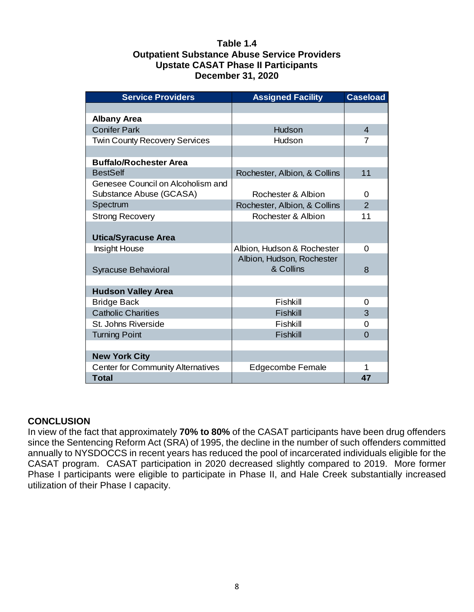### **Table 1.4 Outpatient Substance Abuse Service Providers Upstate CASAT Phase II Participants December 31, 2020**

| <b>Service Providers</b>                 | <b>Assigned Facility</b>     | <b>Caseload</b> |
|------------------------------------------|------------------------------|-----------------|
|                                          |                              |                 |
| <b>Albany Area</b>                       |                              |                 |
| <b>Conifer Park</b>                      | Hudson                       | $\overline{4}$  |
| <b>Twin County Recovery Services</b>     | Hudson                       | $\overline{7}$  |
|                                          |                              |                 |
| <b>Buffalo/Rochester Area</b>            |                              |                 |
| <b>BestSelf</b>                          | Rochester, Albion, & Collins | 11              |
| Genesee Council on Alcoholism and        |                              |                 |
| Substance Abuse (GCASA)                  | Rochester & Albion           | 0               |
| Spectrum                                 | Rochester, Albion, & Collins | $\overline{2}$  |
| <b>Strong Recovery</b>                   | Rochester & Albion           | 11              |
|                                          |                              |                 |
| <b>Utica/Syracuse Area</b>               |                              |                 |
| <b>Insight House</b>                     | Albion, Hudson & Rochester   | $\Omega$        |
|                                          | Albion, Hudson, Rochester    |                 |
| Syracuse Behavioral                      | & Collins                    | 8               |
|                                          |                              |                 |
| <b>Hudson Valley Area</b>                |                              |                 |
| <b>Bridge Back</b>                       | Fishkill                     | 0               |
| <b>Catholic Charities</b>                | <b>Fishkill</b>              | 3               |
| St. Johns Riverside                      | Fishkill                     | 0               |
| <b>Turning Point</b>                     | <b>Fishkill</b>              | $\Omega$        |
|                                          |                              |                 |
| <b>New York City</b>                     |                              |                 |
| <b>Center for Community Alternatives</b> | Edgecombe Female             | 1               |
| <b>Total</b>                             |                              | 47              |

# **CONCLUSION**

In view of the fact that approximately **70% to 80%** of the CASAT participants have been drug offenders since the Sentencing Reform Act (SRA) of 1995, the decline in the number of such offenders committed annually to NYSDOCCS in recent years has reduced the pool of incarcerated individuals eligible for the CASAT program. CASAT participation in 2020 decreased slightly compared to 2019. More former Phase I participants were eligible to participate in Phase II, and Hale Creek substantially increased utilization of their Phase I capacity.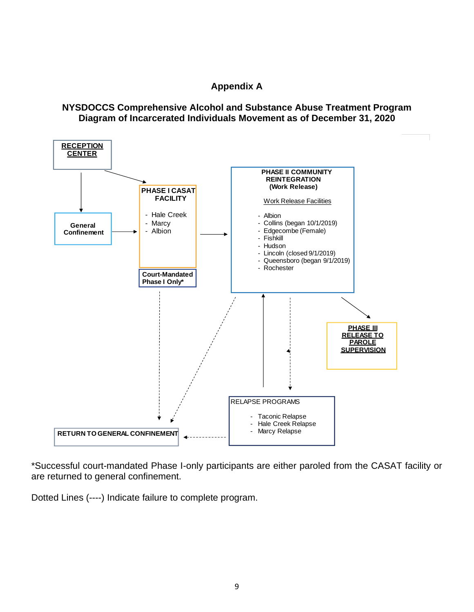# **Appendix A**

### **NYSDOCCS Comprehensive Alcohol and Substance Abuse Treatment Program Diagram of Incarcerated Individuals Movement as of December 31, 2020**



\*Successful court-mandated Phase I-only participants are either paroled from the CASAT facility or are returned to general confinement.

Dotted Lines (----) Indicate failure to complete program.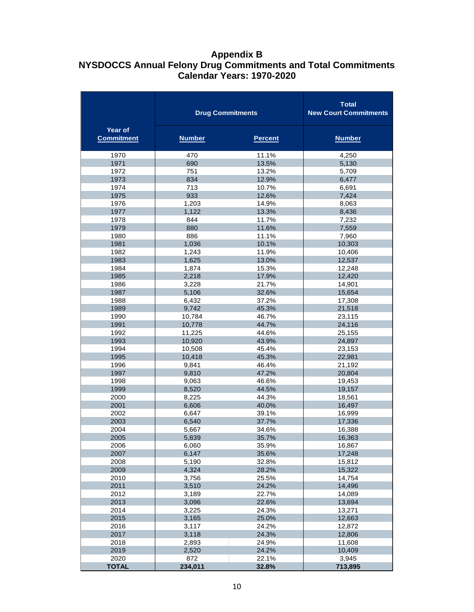# **Appendix B NYSDOCCS Annual Felony Drug Commitments and Total Commitments Calendar Years: 1970-2020**

|                              | <b>Drug Commitments</b> | <b>Total</b><br><b>New Court Commitments</b> |                  |
|------------------------------|-------------------------|----------------------------------------------|------------------|
| Year of<br><b>Commitment</b> | <b>Number</b>           | <b>Percent</b>                               | <b>Number</b>    |
| 1970                         | 470                     | 11.1%                                        | 4,250            |
| 1971                         | 690                     | 13.5%                                        | 5,130            |
| 1972                         | 751                     | 13.2%                                        | 5,709            |
| 1973                         | 834                     | 12.9%                                        | 6,477            |
| 1974                         | 713                     | 10.7%                                        | 6,691            |
| 1975                         | 933                     | 12.6%                                        | 7,424            |
| 1976                         | 1,203                   | 14.9%                                        | 8,063            |
| 1977                         | 1,122                   | 13.3%                                        | 8,436            |
| 1978                         | 844                     | 11.7%                                        | 7,232            |
| 1979                         | 880                     | 11.6%                                        | 7,559            |
| 1980                         | 886                     | 11.1%                                        | 7,960            |
| 1981<br>1982                 | 1,036                   | 10.1%                                        | 10,303           |
| 1983                         | 1,243<br>1,625          | 11.9%<br>13.0%                               | 10,406<br>12,537 |
| 1984                         | 1,874                   | 15.3%                                        | 12,248           |
| 1985                         | 2,218                   | 17.9%                                        | 12,420           |
| 1986                         | 3,228                   | 21.7%                                        | 14,901           |
| 1987                         | 5,106                   | 32.6%                                        | 15,654           |
| 1988                         | 6,432                   | 37.2%                                        | 17,308           |
| 1989                         | 9,742                   | 45.3%                                        | 21,518           |
| 1990                         | 10,784                  | 46.7%                                        | 23,115           |
| 1991                         | 10,778                  | 44.7%                                        | 24,116           |
| 1992                         | 11,225                  | 44.6%                                        | 25,155           |
| 1993                         | 10,920                  | 43.9%                                        | 24,897           |
| 1994                         | 10,508                  | 45.4%                                        | 23,153           |
| 1995                         | 10,418                  | 45.3%                                        | 22,981           |
| 1996                         | 9,841                   | 46.4%                                        | 21,192           |
| 1997                         | 9,810                   | 47.2%                                        | 20,804           |
| 1998                         | 9,063                   | 46.6%                                        | 19,453           |
| 1999                         | 8,520                   | 44.5%                                        | 19,157           |
| 2000                         | 8,225                   | 44.3%                                        | 18,561           |
| 2001                         | 6,606                   | 40.0%                                        | 16,497           |
| 2002                         | 6,647                   | 39.1%                                        | 16,999           |
| 2003                         | 6,540                   | 37.7%                                        | 17,336           |
| 2004                         | 5,667                   | 34.6%                                        | 16,388           |
| 2005                         | 5,839                   | 35.7%                                        | 16,363           |
| 2006                         | 6,060                   | 35.9%                                        | 16,867<br>17,248 |
| 2007<br>2008                 | 6,147                   | 35.6%<br>32.8%                               |                  |
| 2009                         | 5,190<br>4,324          | 28.2%                                        | 15,812<br>15,322 |
| 2010                         | 3,756                   | 25.5%                                        | 14,754           |
| 2011                         | 3,510                   | 24.2%                                        | 14,496           |
| 2012                         | 3,189                   | 22.7%                                        | 14,089           |
| 2013                         | 3,096                   | 22.6%                                        | 13,694           |
| 2014                         | 3,225                   | 24.3%                                        | 13,271           |
| 2015                         | 3,165                   | 25.0%                                        | 12,663           |
| 2016                         | 3,117                   | 24.2%                                        | 12,872           |
| 2017                         | 3,118                   | 24.3%                                        | 12,806           |
| 2018                         | 2,893                   | 24.9%                                        | 11,608           |
| 2019                         | 2,520                   | 24.2%                                        | 10,409           |
| 2020                         | 872                     | 22.1%                                        | 3,945            |
| <b>TOTAL</b>                 | 234,011                 | 32.8%                                        | 713,895          |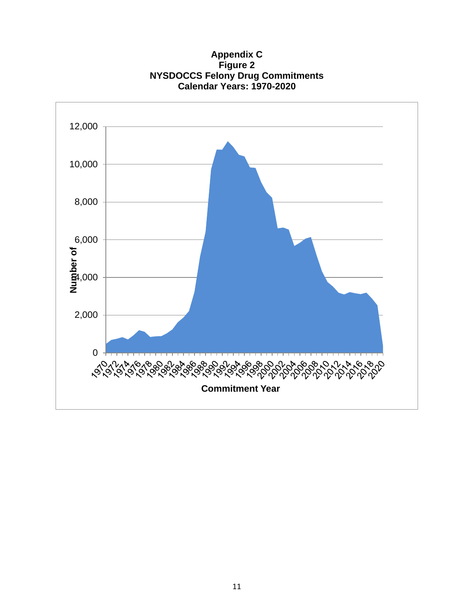**Appendix C Figure 2 NYSDOCCS Felony Drug Commitments Calendar Years: 1970-2020**